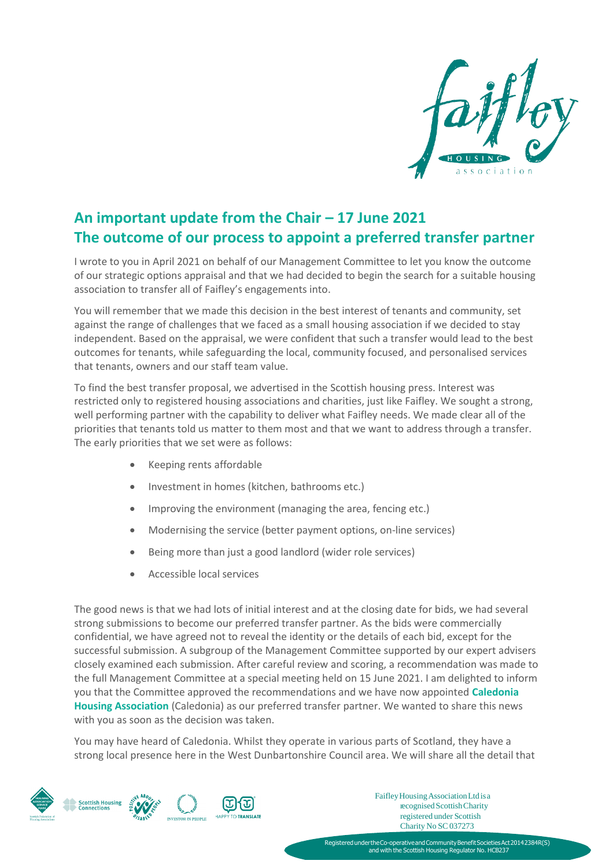

## **An important update from the Chair – 17 June 2021 The outcome of our process to appoint a preferred transfer partner**

I wrote to you in April 2021 on behalf of our Management Committee to let you know the outcome of our strategic options appraisal and that we had decided to begin the search for a suitable housing association to transfer all of Faifley's engagements into.

You will remember that we made this decision in the best interest of tenants and community, set against the range of challenges that we faced as a small housing association if we decided to stay independent. Based on the appraisal, we were confident that such a transfer would lead to the best outcomes for tenants, while safeguarding the local, community focused, and personalised services that tenants, owners and our staff team value.

To find the best transfer proposal, we advertised in the Scottish housing press. Interest was restricted only to registered housing associations and charities, just like Faifley. We sought a strong, well performing partner with the capability to deliver what Faifley needs. We made clear all of the priorities that tenants told us matter to them most and that we want to address through a transfer. The early priorities that we set were as follows:

- Keeping rents affordable
- Investment in homes (kitchen, bathrooms etc.)
- Improving the environment (managing the area, fencing etc.)
- Modernising the service (better payment options, on-line services)
- Being more than just a good landlord (wider role services)
- $\bullet$  Accessible local services

The good news is that we had lots of initial interest and at the closing date for bids, we had several strong submissions to become our preferred transfer partner. As the bids were commercially confidential, we have agreed not to reveal the identity or the details of each bid, except for the successful submission. A subgroup of the Management Committee supported by our expert advisers closely examined each submission. After careful review and scoring, a recommendation was made to the full Management Committee at a special meeting held on 15 June 2021. I am delighted to inform you that the Committee approved the recommendations and we have now appointed **Caledonia Housing Association** (Caledonia) as our preferred transfer partner. We wanted to share this news with you as soon as the decision was taken.

You may have heard of Caledonia. Whilst they operate in various parts of Scotland, they have a strong local presence here in the West Dunbartonshire Council area. We will share all the detail that



FaifleyHousingAssociationLtd isa recognised Scottish Charity registered under Scottish Charity No SC 037273